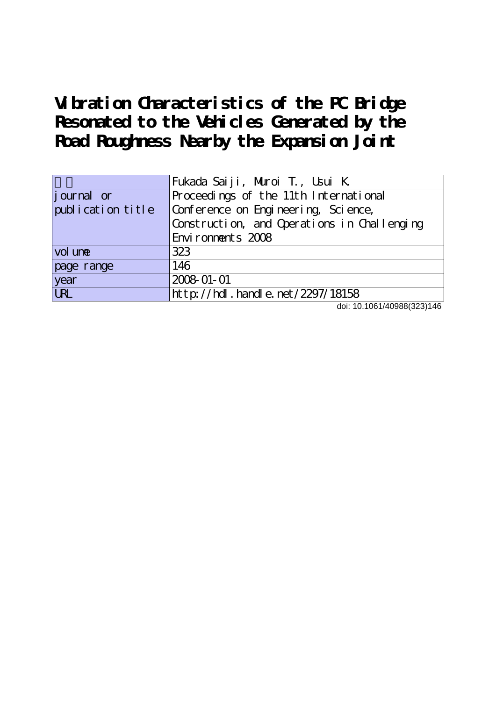**Vibration Characteristics of the PC Bridge Resonated to the Vehicles Generated by the Road Roughness Nearby the Expansion Joint**

|                   | Fukada Saiji, Muroi T., Usui K.             |
|-------------------|---------------------------------------------|
| journal or        | Proceedings of the 11th International       |
| publication title | Conference on Engineering, Science,         |
|                   | Construction, and Operations in Challenging |
|                   | Environments 2008                           |
| vol une           | 323                                         |
| page range        | 146                                         |
| year              | 2008-01-01                                  |
| <b>URL</b>        | http://hdl.handle.net/2297/18158            |

doi: 10.1061/40988(323)146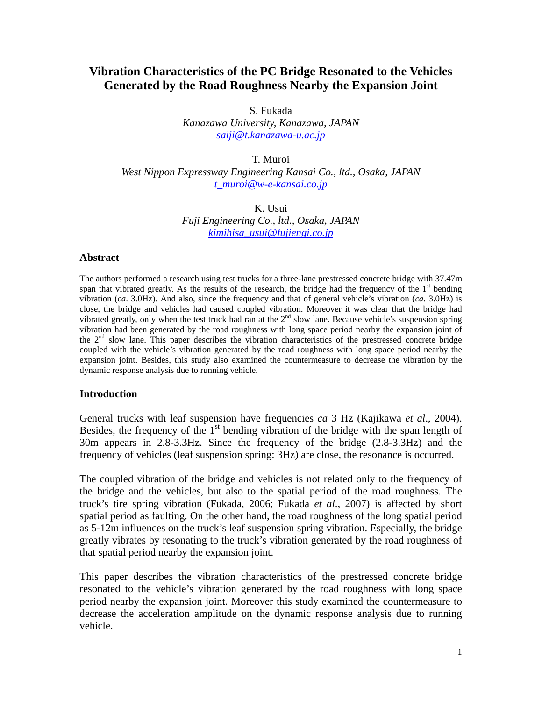# **Vibration Characteristics of the PC Bridge Resonated to the Vehicles Generated by the Road Roughness Nearby the Expansion Joint**

S. Fukada

*Kanazawa University, Kanazawa, JAPAN [saiji@t.kanazawa-u.ac.jp](mailto:saiji@t.kanazawa-u.ac.jp)*

T. Muroi

*West Nippon Expressway Engineering Kansai Co., ltd., Osaka, JAPAN [t\\_muroi@w-e-kansai.co.jp](mailto:t_muroi@w-e-kansai.co.jp)*

> K. Usui *Fuji Engineering Co., ltd., Osaka, JAPAN [kimihisa\\_usui@fujiengi.co.jp](mailto:kimihisa_usui@fujiengi.co.jp)*

### **Abstract**

The authors performed a research using test trucks for a three-lane prestressed concrete bridge with 37.47m span that vibrated greatly. As the results of the research, the bridge had the frequency of the  $1<sup>st</sup>$  bending vibration (*ca*. 3.0Hz). And also, since the frequency and that of general vehicle's vibration (*ca*. 3.0Hz) is close, the bridge and vehicles had caused coupled vibration. Moreover it was clear that the bridge had vibrated greatly, only when the test truck had ran at the  $2<sup>nd</sup>$  slow lane. Because vehicle's suspension spring vibration had been generated by the road roughness with long space period nearby the expansion joint of the  $2<sup>nd</sup>$  slow lane. This paper describes the vibration characteristics of the prestressed concrete bridge coupled with the vehicle's vibration generated by the road roughness with long space period nearby the expansion joint. Besides, this study also examined the countermeasure to decrease the vibration by the dynamic response analysis due to running vehicle.

# **Introduction**

General trucks with leaf suspension have frequencies *ca* 3 Hz (Kajikawa *et al*., 2004). Besides, the frequency of the  $1<sup>st</sup>$  bending vibration of the bridge with the span length of 30m appears in 2.8-3.3Hz. Since the frequency of the bridge (2.8-3.3Hz) and the frequency of vehicles (leaf suspension spring: 3Hz) are close, the resonance is occurred.

The coupled vibration of the bridge and vehicles is not related only to the frequency of the bridge and the vehicles, but also to the spatial period of the road roughness. The truck's tire spring vibration (Fukada, 2006; Fukada *et al*., 2007) is affected by short spatial period as faulting. On the other hand, the road roughness of the long spatial period as 5-12m influences on the truck's leaf suspension spring vibration. Especially, the bridge greatly vibrates by resonating to the truck's vibration generated by the road roughness of that spatial period nearby the expansion joint.

This paper describes the vibration characteristics of the prestressed concrete bridge resonated to the vehicle's vibration generated by the road roughness with long space period nearby the expansion joint. Moreover this study examined the countermeasure to decrease the acceleration amplitude on the dynamic response analysis due to running vehicle.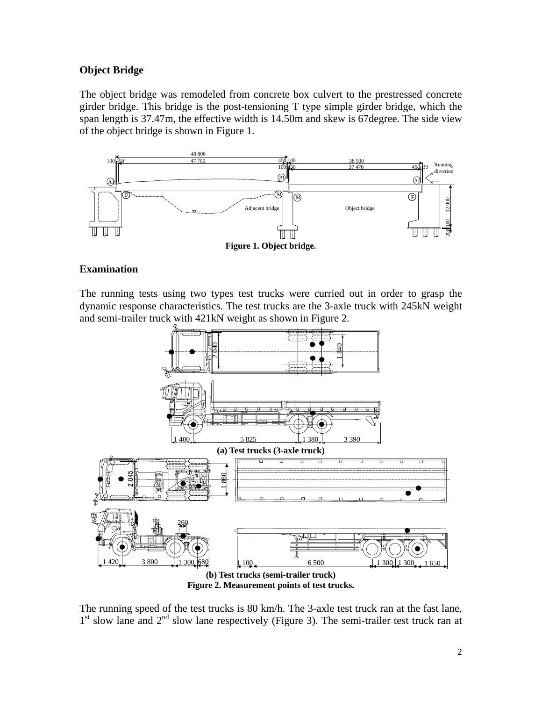# **Object Bridge**

The object bridge was remodeled from concrete box culvert to the prestressed concrete girder bridge. This bridge is the post-tensioning T type simple girder bridge, which the span length is 37.47m, the effective width is 14.50m and skew is 67degree. The side view of the object bridge is shown in Figure 1.



# **Examination**

The running tests using two types test trucks were curried out in order to grasp the dynamic response characteristics. The test trucks are the 3-axle truck with 245kN weight and semi-trailer truck with 421kN weight as shown in Figure 2.



The running speed of the test trucks is 80 km/h. The 3-axle test truck ran at the fast lane,  $1<sup>st</sup>$  slow lane and  $2<sup>nd</sup>$  slow lane respectively (Figure 3). The semi-trailer test truck ran at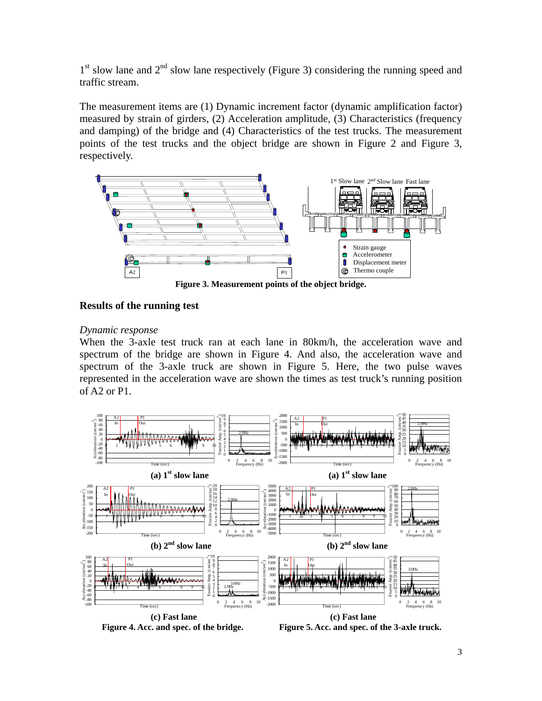$1<sup>st</sup>$  slow lane and  $2<sup>nd</sup>$  slow lane respectively (Figure 3) considering the running speed and traffic stream.

The measurement items are (1) Dynamic increment factor (dynamic amplification factor) measured by strain of girders, (2) Acceleration amplitude, (3) Characteristics (frequency and damping) of the bridge and (4) Characteristics of the test trucks. The measurement points of the test trucks and the object bridge are shown in Figure 2 and Figure 3, respectively.



# **Results of the running test**

### *Dynamic response*

When the 3-axle test truck ran at each lane in 80km/h, the acceleration wave and spectrum of the bridge are shown in Figure 4. And also, the acceleration wave and spectrum of the 3-axle truck are shown in Figure 5. Here, the two pulse waves represented in the acceleration wave are shown the times as test truck's running position of A2 or P1.



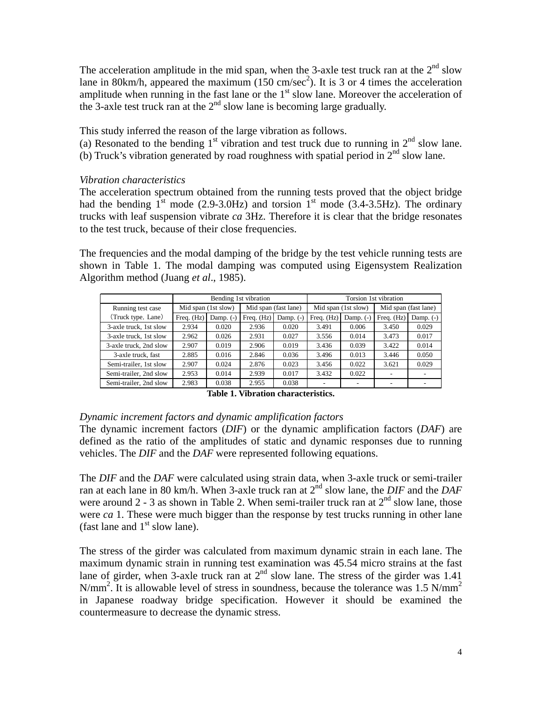The acceleration amplitude in the mid span, when the 3-axle test truck ran at the  $2<sup>nd</sup>$  slow lane in 80km/h, appeared the maximum (150 cm/sec<sup>2</sup>). It is 3 or 4 times the acceleration amplitude when running in the fast lane or the  $1<sup>st</sup>$  slow lane. Moreover the acceleration of the 3-axle test truck ran at the  $2<sup>nd</sup>$  slow lane is becoming large gradually.

This study inferred the reason of the large vibration as follows.

(a) Resonated to the bending  $1<sup>st</sup>$  vibration and test truck due to running in  $2<sup>nd</sup>$  slow lane. (b) Truck's vibration generated by road roughness with spatial period in  $2<sup>nd</sup>$  slow lane.

# *Vibration characteristics*

The acceleration spectrum obtained from the running tests proved that the object bridge had the bending  $1<sup>st</sup>$  mode (2.9-3.0Hz) and torsion  $1<sup>st</sup>$  mode (3.4-3.5Hz). The ordinary trucks with leaf suspension vibrate *ca* 3Hz. Therefore it is clear that the bridge resonates to the test truck, because of their close frequencies.

The frequencies and the modal damping of the bridge by the test vehicle running tests are shown in Table 1. The modal damping was computed using Eigensystem Realization Algorithm method (Juang *et al*., 1985).

|                        |                     |             | Bending 1st vibration       |                      | Torsion 1st vibration |                     |                      |             |  |  |
|------------------------|---------------------|-------------|-----------------------------|----------------------|-----------------------|---------------------|----------------------|-------------|--|--|
| Running test case      | Mid span (1st slow) |             |                             | Mid span (fast lane) |                       | Mid span (1st slow) | Mid span (fast lane) |             |  |  |
| (Truck type, Lane)     | Freq. (Hz)          | Damp. $(-)$ | Freq. $(Hz)$<br>Damp. $(-)$ |                      | Freq. (Hz)            | Damp. $(-)$         | Freq. $(Hz)$         | Damp. $(-)$ |  |  |
| 3-axle truck, 1st slow | 2.934               | 0.020       | 2.936                       | 0.020                | 3.491                 | 0.006               | 3.450                | 0.029       |  |  |
| 3-axle truck, 1st slow | 2.962               | 0.026       | 2.931                       | 0.027                | 3.556                 | 0.014               | 3.473                | 0.017       |  |  |
| 3-axle truck, 2nd slow | 2.907               | 0.019       | 2.906                       | 0.019                | 3.436                 | 0.039               | 3.422                | 0.014       |  |  |
| 3-axle truck, fast     | 2.885               | 0.016       | 2.846                       | 0.036                | 3.496                 | 0.013               | 3.446                | 0.050       |  |  |
| Semi-trailer, 1st slow | 2.907               | 0.024       | 2.876                       | 0.023                | 3.456                 | 0.022               | 3.621                | 0.029       |  |  |
| Semi-trailer, 2nd slow | 2.953               | 0.014       | 2.939                       | 0.017                | 3.432                 | 0.022               |                      |             |  |  |
| Semi-trailer, 2nd slow | 2.983               | 0.038       | 2.955                       | 0.038                |                       | -                   |                      |             |  |  |

**Table 1. Vibration characteristics.**

# *Dynamic increment factors and dynamic amplification factors*

The dynamic increment factors (*DIF*) or the dynamic amplification factors (*DAF*) are defined as the ratio of the amplitudes of static and dynamic responses due to running vehicles. The *DIF* and the *DAF* were represented following equations.

The *DIF* and the *DAF* were calculated using strain data, when 3-axle truck or semi-trailer ran at each lane in 80 km/h. When 3-axle truck ran at 2<sup>nd</sup> slow lane, the *DIF* and the *DAF* were around 2 - 3 as shown in Table 2. When semi-trailer truck ran at  $2<sup>nd</sup>$  slow lane, those were *ca* 1. These were much bigger than the response by test trucks running in other lane (fast lane and  $1<sup>st</sup>$  slow lane).

The stress of the girder was calculated from maximum dynamic strain in each lane. The maximum dynamic strain in running test examination was 45.54 micro strains at the fast lane of girder, when 3-axle truck ran at  $2<sup>nd</sup>$  slow lane. The stress of the girder was 1.41 N/mm<sup>2</sup>. It is allowable level of stress in soundness, because the tolerance was 1.5 N/mm<sup>2</sup> in Japanese roadway bridge specification. However it should be examined the countermeasure to decrease the dynamic stress.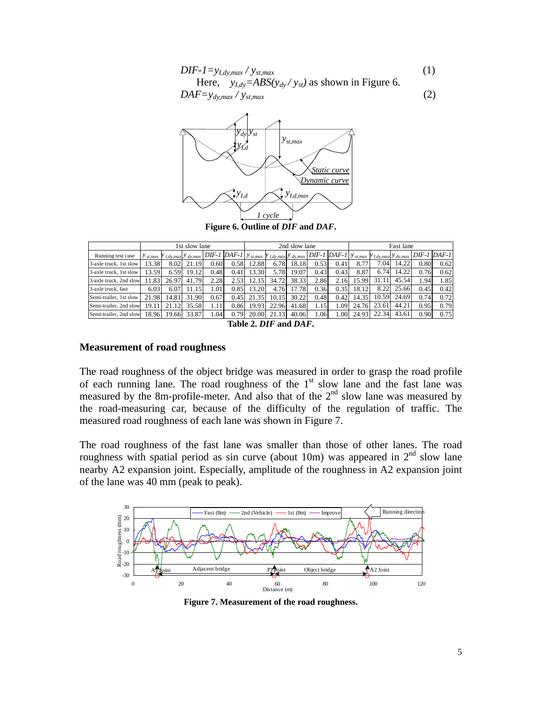$$
DIF-I=y_{I,dy,max}/y_{st,max}
$$
\n(1)  
\nHere,  $y_{I,dy} = ABS(y_{dy}/y_{st})$  as shown in Figure 6.  
\n
$$
DAF=y_{dy,max}/y_{st,max}
$$
\n(2)



**Figure 6. Outline of** *DIF* **and** *DAF***.**

|                        | 1st slow lane |                                          |       |      | 2nd slow lane                         |       |                             |       |      | Fast lane             |       |                                                        |       |                 |      |
|------------------------|---------------|------------------------------------------|-------|------|---------------------------------------|-------|-----------------------------|-------|------|-----------------------|-------|--------------------------------------------------------|-------|-----------------|------|
| Running test case      |               | $y_{st,max}$ $y_{I,dy,max}$ $y_{dy,max}$ |       |      | $DIF-1$ $DAF-1$ $y$ <sub>st,max</sub> |       | $y_{I,dy,max}$ $y_{dy,max}$ |       |      | $DIF-I$ $DAF-I$ $\nu$ |       | st, max $\mathcal{Y}$ I, dy, max $\mathcal{Y}$ dy, max |       | $DIF-1$ $DAF-1$ |      |
| 3-axle truck, 1st slow | 3.38          | 8.02                                     | 21.19 | 0.60 | 0.58                                  | 12.88 | 6.78                        | 18.18 | 0.53 | 0.41                  | 8.77  | 7.04                                                   | 14.22 | 0.80            | 0.62 |
| 3-axle truck, 1st slow | 3.59          | 6.59                                     | 19.12 | 0.48 | 0.41                                  | 13.30 | 5.78                        | 19.07 | 0.43 | 0.43                  | 8.87  | 6.74                                                   | 14.22 | 0.76            | 0.62 |
| 3-axle truck, 2nd slow | 1.83          | 26.97                                    | 41.79 | 2.28 | 2.53                                  | 12.15 | 34.72                       | 38.33 | 2.86 | 2.16                  | 15.99 | 31.11                                                  | 45.54 | 1.94            | 1.85 |
| 3-axle truck, fast     | 6.03          | 6.07                                     | 11.15 | 1.01 | 0.85                                  | 13.20 | 4.76                        | 17.78 | 0.36 | 0.35                  | 18.12 | 8.22                                                   | 25.66 | 0.45            | 0.42 |
| Semi-trailer, 1st slow | 21.98         | 14.81                                    | 31.90 | 0.67 | 0.45                                  | 21.35 | 10.15                       | 30.22 | 0.48 | 0.42                  | 14.35 | 10.59                                                  | 24.69 | 0.74            | 0.72 |
| Semi-trailer, 2nd slow | 19.11         | 21.12                                    | 35.58 | 1.11 | 0.86                                  | 19.93 | 22.96                       | 41.68 | 1.15 | 1.09                  | 24.76 | 23.61                                                  | 44.21 | 0.95            | 0.79 |
| Semi-trailer, 2nd slow | 18.96         | 19.66                                    | 33.87 | 1.04 | 0.79                                  | 20.00 | 21.13                       | 40.06 | 1.06 | 1.00                  | 24.93 | 22.34                                                  | 43.61 | 0.90            | 0.75 |

**Table 2.** *DIF* **and** *DAF***.**

#### **Measurement of road roughness**

The road roughness of the object bridge was measured in order to grasp the road profile of each running lane. The road roughness of the  $1<sup>st</sup>$  slow lane and the fast lane was measured by the 8m-profile-meter. And also that of the  $2<sup>nd</sup>$  slow lane was measured by the road-measuring car, because of the difficulty of the regulation of traffic. The measured road roughness of each lane was shown in Figure 7.

The road roughness of the fast lane was smaller than those of other lanes. The road roughness with spatial period as sin curve (about 10m) was appeared in  $2<sup>nd</sup>$  slow lane nearby A2 expansion joint. Especially, amplitude of the roughness in A2 expansion joint of the lane was 40 mm (peak to peak).



**Figure 7. Measurement of the road roughness.**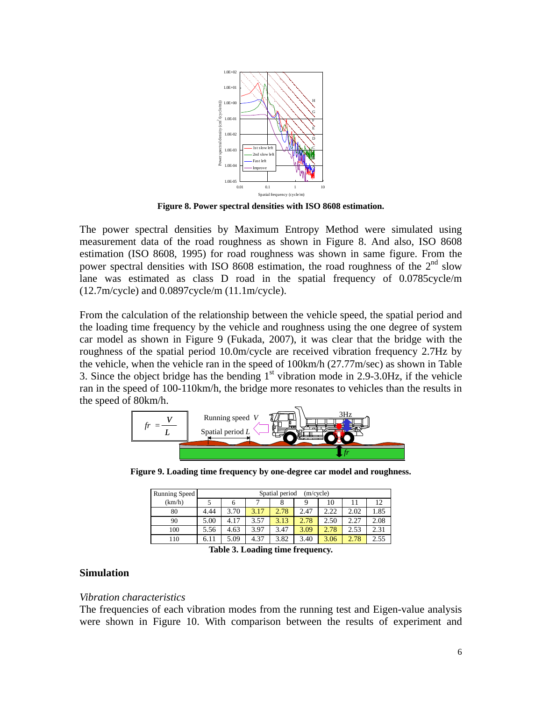

**Figure 8. Power spectral densities with ISO 8608 estimation.** 

The power spectral densities by Maximum Entropy Method were simulated using measurement data of the road roughness as shown in Figure 8. And also, ISO 8608 estimation (ISO 8608, 1995) for road roughness was shown in same figure. From the power spectral densities with ISO 8608 estimation, the road roughness of the  $2<sup>nd</sup>$  slow lane was estimated as class D road in the spatial frequency of 0.0785cycle/m (12.7m/cycle) and 0.0897cycle/m (11.1m/cycle).

From the calculation of the relationship between the vehicle speed, the spatial period and the loading time frequency by the vehicle and roughness using the one degree of system car model as shown in Figure 9 (Fukada, 2007), it was clear that the bridge with the roughness of the spatial period 10.0m/cycle are received vibration frequency 2.7Hz by the vehicle, when the vehicle ran in the speed of 100km/h (27.77m/sec) as shown in Table 3. Since the object bridge has the bending  $1<sup>st</sup>$  vibration mode in 2.9-3.0Hz, if the vehicle ran in the speed of 100-110km/h, the bridge more resonates to vehicles than the results in the speed of 80km/h.



**Figure 9. Loading time frequency by one-degree car model and roughness.** 

| Running Speed | Spatial period<br>(m/cycle) |      |      |      |      |      |      |      |  |  |
|---------------|-----------------------------|------|------|------|------|------|------|------|--|--|
| (km/h)        |                             | h    |      | 8    | Q    | 10   |      | 12   |  |  |
| 80            | 4.44                        | 3.70 | 3.17 | 2.78 | 2.47 | 2.22 | 2.02 | 1.85 |  |  |
| 90            | 5.00                        | 4.17 | 3.57 | 3.13 | 2.78 | 2.50 | 2.27 | 2.08 |  |  |
| 100           | 5.56                        | 4.63 | 3.97 | 3.47 | 3.09 | 2.78 | 2.53 | 2.31 |  |  |
| 110           | 6.11                        | 5.09 | 4.37 | 3.82 | 3.40 | 3.06 | 2.78 | 2.55 |  |  |

**Table 3. Loading time frequency.** 

### **Simulation**

#### *Vibration characteristics*

The frequencies of each vibration modes from the running test and Eigen-value analysis were shown in Figure 10. With comparison between the results of experiment and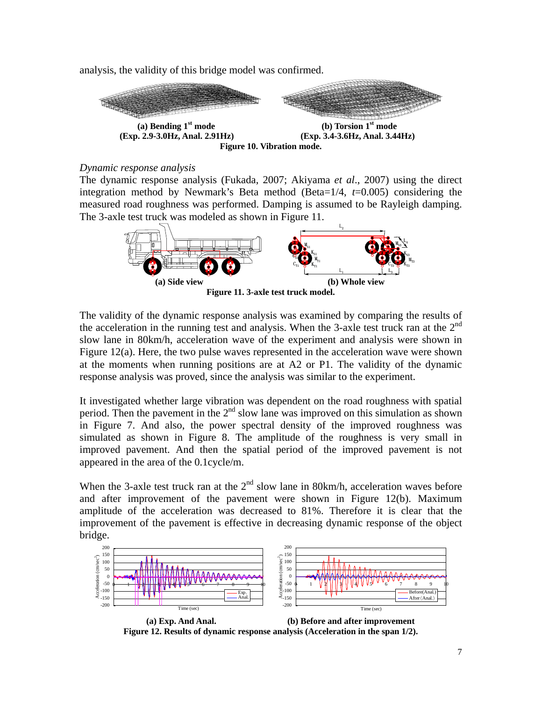analysis, the validity of this bridge model was confirmed.



# *Dynamic response analysis*

The dynamic response analysis (Fukada, 2007; Akiyama *et al*., 2007) using the direct integration method by Newmark's Beta method (Beta=1/4, *t*=0.005) considering the measured road roughness was performed. Damping is assumed to be Rayleigh damping. The 3-axle test truck was modeled as shown in Figure 11.



The validity of the dynamic response analysis was examined by comparing the results of the acceleration in the running test and analysis. When the 3-axle test truck ran at the  $2<sup>nd</sup>$ slow lane in 80km/h, acceleration wave of the experiment and analysis were shown in Figure 12(a). Here, the two pulse waves represented in the acceleration wave were shown at the moments when running positions are at A2 or P1. The validity of the dynamic response analysis was proved, since the analysis was similar to the experiment.

It investigated whether large vibration was dependent on the road roughness with spatial period. Then the pavement in the  $2<sup>nd</sup>$  slow lane was improved on this simulation as shown in Figure 7. And also, the power spectral density of the improved roughness was simulated as shown in Figure 8. The amplitude of the roughness is very small in improved pavement. And then the spatial period of the improved pavement is not appeared in the area of the 0.1cycle/m.

When the 3-axle test truck ran at the  $2<sup>nd</sup>$  slow lane in 80km/h, acceleration waves before and after improvement of the pavement were shown in Figure 12(b). Maximum amplitude of the acceleration was decreased to 81%. Therefore it is clear that the improvement of the pavement is effective in decreasing dynamic response of the object bridge.



 **(a) Exp. And Anal. (b) Before and after improvement Figure 12. Results of dynamic response analysis (Acceleration in the span 1/2).**